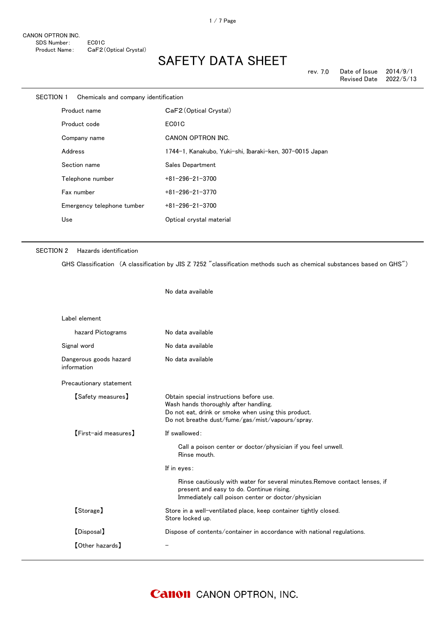| SECTION 1 |         | Chemicals and company identification |                                                         |
|-----------|---------|--------------------------------------|---------------------------------------------------------|
|           |         | Product name                         | CaF2 (Optical Crystal)                                  |
|           |         | Product code                         | EC01C                                                   |
|           |         | Company name                         | <b>CANON OPTRON INC.</b>                                |
|           | Address |                                      | 1744-1, Kanakubo, Yuki-shi, Ibaraki-ken, 307-0015 Japan |
|           |         | Section name                         | Sales Department                                        |
|           |         | Telephone number                     | $+81 - 296 - 21 - 3700$                                 |
|           |         | Fax number                           | $+81 - 296 - 21 - 3770$                                 |
|           |         | Emergency telephone tumber           | $+81 - 296 - 21 - 3700$                                 |
|           | Use     |                                      | Optical crystal material                                |
|           |         |                                      |                                                         |

No data available

### SECTION 2 Hazards identification

GHS Classification (A classification by JIS Z 7252 "classification methods such as chemical substances based on GHS")

| Label element                         |                                                                                                                                                                                             |
|---------------------------------------|---------------------------------------------------------------------------------------------------------------------------------------------------------------------------------------------|
| hazard Pictograms                     | No data available                                                                                                                                                                           |
| Signal word                           | No data available                                                                                                                                                                           |
| Dangerous goods hazard<br>information | No data available                                                                                                                                                                           |
| Precautionary statement               |                                                                                                                                                                                             |
| <b>【Safety measures】</b>              | Obtain special instructions before use.<br>Wash hands thoroughly after handling.<br>Do not eat, drink or smoke when using this product.<br>Do not breathe dust/fume/gas/mist/vapours/spray. |
| <b>[First-aid measures]</b>           | If swallowed:                                                                                                                                                                               |
|                                       | Call a poison center or doctor/physician if you feel unwell.<br>Rinse mouth.                                                                                                                |
|                                       | If in eyes:                                                                                                                                                                                 |
|                                       | Rinse cautiously with water for several minutes. Remove contact lenses, if<br>present and easy to do. Continue rising.<br>Immediately call poison center or doctor/physician                |
| [Storage]                             | Store in a well-ventilated place, keep container tightly closed.<br>Store locked up.                                                                                                        |
| [Disposal]                            | Dispose of contents/container in accordance with national regulations.                                                                                                                      |
| <b>[Other hazards]</b>                |                                                                                                                                                                                             |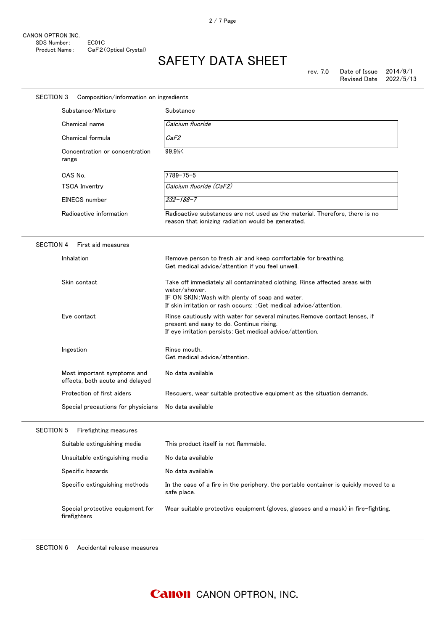| <b>SECTION 3</b> | Composition/information on ingredients                         |                                                                                                                                                                                                                     |
|------------------|----------------------------------------------------------------|---------------------------------------------------------------------------------------------------------------------------------------------------------------------------------------------------------------------|
|                  | Substance/Mixture                                              | Substance                                                                                                                                                                                                           |
|                  | Chemical name                                                  | Calcium fluoride                                                                                                                                                                                                    |
|                  | Chemical formula                                               | CaF2                                                                                                                                                                                                                |
|                  | Concentration or concentration<br>range                        | 99.9%                                                                                                                                                                                                               |
|                  | CAS No.                                                        | $7789 - 75 - 5$                                                                                                                                                                                                     |
|                  | <b>TSCA Inventry</b>                                           | Calcium fluoride (CaF2)                                                                                                                                                                                             |
|                  | EINECS number                                                  | $232 - 188 - 7$                                                                                                                                                                                                     |
|                  | Radioactive information                                        | Radioactive substances are not used as the material. Therefore, there is no<br>reason that ionizing radiation would be generated.                                                                                   |
| <b>SECTION 4</b> | First aid measures                                             |                                                                                                                                                                                                                     |
|                  | Inhalation                                                     | Remove person to fresh air and keep comfortable for breathing.<br>Get medical advice/attention if you feel unwell.                                                                                                  |
|                  | Skin contact                                                   | Take off immediately all contaminated clothing. Rinse affected areas with<br>water/shower.<br>IF ON SKIN: Wash with plenty of soap and water.<br>If skin irritation or rash occurs: : Get medical advice/attention. |
|                  | Eye contact                                                    | Rinse cautiously with water for several minutes. Remove contact lenses, if<br>present and easy to do. Continue rising.<br>If eye irritation persists: Get medical advice/attention.                                 |
|                  | Ingestion                                                      | Rinse mouth.<br>Get medical advice/attention.                                                                                                                                                                       |
|                  | Most important symptoms and<br>effects, both acute and delayed | No data available                                                                                                                                                                                                   |
|                  | Protection of first aiders                                     | Rescuers, wear suitable protective equipment as the situation demands.                                                                                                                                              |
|                  | Special precautions for physicians                             | No data available                                                                                                                                                                                                   |
| <b>SECTION 5</b> | Firefighting measures                                          |                                                                                                                                                                                                                     |
|                  | Suitable extinguishing media                                   | This product itself is not flammable.                                                                                                                                                                               |
|                  | Unsuitable extinguishing media                                 | No data available                                                                                                                                                                                                   |
|                  | Specific hazards                                               | No data available                                                                                                                                                                                                   |
|                  | Specific extinguishing methods                                 | In the case of a fire in the periphery, the portable container is quickly moved to a<br>safe place.                                                                                                                 |
|                  | Special protective equipment for<br>firefighters               | Wear suitable protective equipment (gloves, glasses and a mask) in fire-fighting.                                                                                                                                   |

SECTION 6 Accidental release measures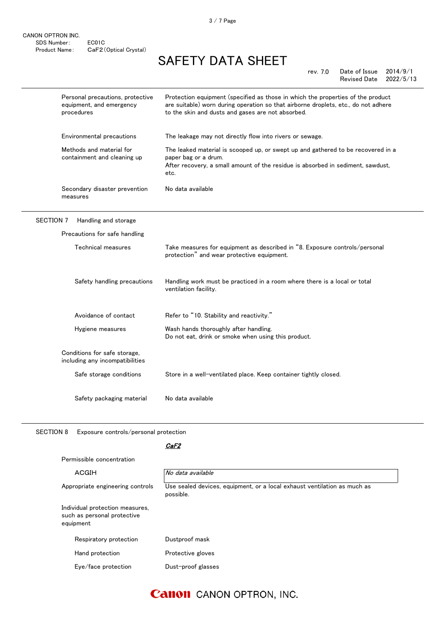3 / 7 Page

# SAFETY DATA SHEET

|                  | Personal precautions, protective<br>equipment, and emergency<br>procedures | Protection equipment (specified as those in which the properties of the product<br>are suitable) worn during operation so that airborne droplets, etc., do not adhere<br>to the skin and dusts and gases are not absorbed. |
|------------------|----------------------------------------------------------------------------|----------------------------------------------------------------------------------------------------------------------------------------------------------------------------------------------------------------------------|
|                  | Environmental precautions                                                  | The leakage may not directly flow into rivers or sewage.                                                                                                                                                                   |
|                  | Methods and material for<br>containment and cleaning up                    | The leaked material is scooped up, or swept up and gathered to be recovered in a<br>paper bag or a drum.<br>After recovery, a small amount of the residue is absorbed in sediment, sawdust,<br>etc.                        |
|                  | Secondary disaster prevention<br>measures                                  | No data available                                                                                                                                                                                                          |
| <b>SECTION 7</b> | Handling and storage                                                       |                                                                                                                                                                                                                            |
|                  | Precautions for safe handling                                              |                                                                                                                                                                                                                            |
|                  | Technical measures                                                         | Take measures for equipment as described in "8. Exposure controls/personal<br>protection" and wear protective equipment.                                                                                                   |
|                  | Safety handling precautions                                                | Handling work must be practiced in a room where there is a local or total<br>ventilation facility.                                                                                                                         |
|                  | Avoidance of contact                                                       | Refer to "10. Stability and reactivity."                                                                                                                                                                                   |
|                  | Hygiene measures                                                           | Wash hands thoroughly after handling.<br>Do not eat, drink or smoke when using this product.                                                                                                                               |
|                  | Conditions for safe storage,<br>including any incompatibilities            |                                                                                                                                                                                                                            |
|                  | Safe storage conditions                                                    | Store in a well-ventilated place. Keep container tightly closed.                                                                                                                                                           |
|                  | Safety packaging material                                                  | No data available                                                                                                                                                                                                          |

SECTION 8 Exposure controls/personal protection

### CaF2

| Permissible concentration |                                                                             |                                                                                       |
|---------------------------|-----------------------------------------------------------------------------|---------------------------------------------------------------------------------------|
|                           | ACGIH                                                                       | No data available                                                                     |
|                           | Appropriate engineering controls                                            | Use sealed devices, equipment, or a local exhaust ventilation as much as<br>possible. |
|                           | Individual protection measures,<br>such as personal protective<br>equipment |                                                                                       |
|                           | Respiratory protection                                                      | Dustproof mask                                                                        |
|                           | Hand protection                                                             | Protective gloves                                                                     |
|                           | Eye/face protection                                                         | Dust-proof glasses                                                                    |
|                           |                                                                             |                                                                                       |

## **Canon** CANON OPTRON, INC.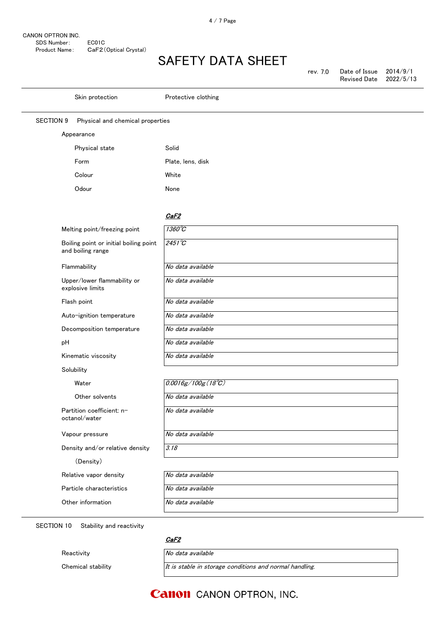| rev. 7.0 | Date of Issue       | 2014/9/1  |
|----------|---------------------|-----------|
|          | <b>Revised Date</b> | 2022/5/13 |

|                  | Skin protection                                             | Protective clothing         |
|------------------|-------------------------------------------------------------|-----------------------------|
| <b>SECTION 9</b> | Physical and chemical properties                            |                             |
|                  | Appearance                                                  |                             |
|                  | Physical state                                              | Solid                       |
|                  | Form                                                        | Plate, lens, disk           |
|                  | Colour                                                      | White                       |
|                  | Odour                                                       | None                        |
|                  |                                                             | CaF2                        |
|                  | Melting point/freezing point                                | $1360^{\circ}C$             |
|                  | Boiling point or initial boiling point<br>and boiling range | $2451^{\circ}C$             |
|                  | Flammability                                                | No data available           |
|                  | Upper/lower flammability or<br>explosive limits             | No data available           |
|                  | Flash point                                                 | No data available           |
|                  | Auto-ignition temperature                                   | No data available           |
|                  | Decomposition temperature                                   | No data available           |
| pH               |                                                             | No data available           |
|                  | Kinematic viscosity                                         | No data available           |
|                  | Solubility                                                  |                             |
|                  | Water                                                       | $0.0016g/100g(18^{\circ}C)$ |
|                  | Other solvents                                              | No data available           |
|                  | Partition coefficient: n-<br>octanol/water                  | No data available           |
|                  | Vapour pressure                                             | No data available           |
|                  | Density and/or relative density                             | 3.18                        |
|                  | (Density)                                                   |                             |
|                  | Relative vapor density                                      | No data available           |
|                  | Particle characteristics                                    | No data available           |
|                  | Other information                                           | No data available           |

SECTION 10 Stability and reactivity

Reactivity **No data available** 

<u>CaF2</u>

Chemical stability  $It$  is stable in storage conditions and normal handling.

## **Canon** CANON OPTRON, INC.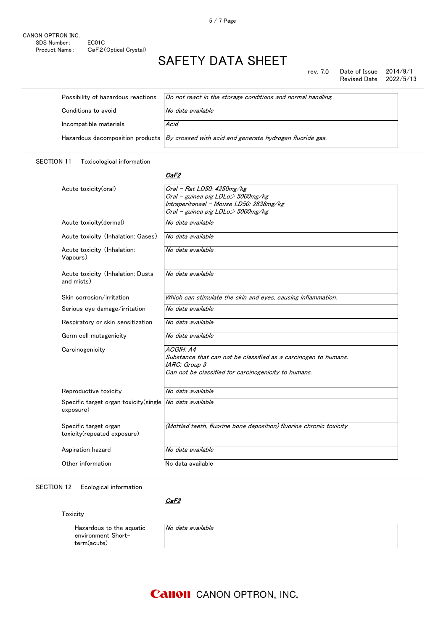rev. 7.0 Date of Issue 2014/9/1<br>Revised Date 2022/5/13 Revised Date

| Possibility of hazardous reactions | Do not react in the storage conditions and normal handling.                                 |
|------------------------------------|---------------------------------------------------------------------------------------------|
| Conditions to avoid                | No data available                                                                           |
| Incompatible materials             | Acid                                                                                        |
|                                    | Hazardous decomposition products $By crossed with acid and generate hydrogen fluoride gas.$ |

### SECTION 11 Toxicological information

#### <u>CaF2</u>

| Acute toxicity(oral)                                 | Oral - Rat LD50: 4250mg/kg                                          |
|------------------------------------------------------|---------------------------------------------------------------------|
|                                                      | Oral - guinea pig LDLo:> 5000mg/kg                                  |
|                                                      | Intraperitoneal - Mouse LD50: 2638mg/kg                             |
|                                                      | Oral - guinea pig LDLo:> 5000mg/kg                                  |
| Acute toxicity (dermal)                              | No data available                                                   |
| Acute toxicity (Inhalation: Gases)                   | No data available                                                   |
| Acute toxicity (Inhalation:<br>Vapours)              | No data available                                                   |
| Acute toxicity (Inhalation: Dusts<br>and mists)      | No data available                                                   |
| Skin corrosion/irritation                            | Which can stimulate the skin and eyes, causing inflammation.        |
| Serious eye damage/irritation                        | No data available                                                   |
| Respiratory or skin sensitization                    | No data available                                                   |
| Germ cell mutagenicity                               | No data available                                                   |
| Carcinogenicity                                      | ACGIH: A4                                                           |
|                                                      | Substance that can not be classified as a carcinogen to humans.     |
|                                                      | IARC: Group 3                                                       |
|                                                      | Can not be classified for carcinogenicity to humans.                |
| Reproductive toxicity                                | No data available                                                   |
| Specific target organ toxicity (single<br>exposure)  | No data available                                                   |
| Specific target organ<br>toxicity(repeated exposure) | (Mottled teeth, fluorine bone deposition) fluorine chronic toxicity |
| Aspiration hazard                                    | No data available                                                   |
| Other information                                    | No data available                                                   |

SECTION 12 Ecological information

<u>CaF2</u>

Toxicity

Hazardous to the aquatic environment Shortterm(acute)

No data available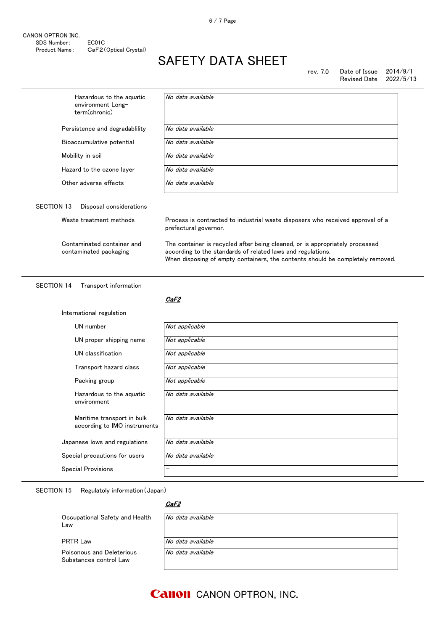| Hazardous to the aquatic<br>environment Long-<br>term(chronic) | No data available                                                                                                                                                                                                             |  |
|----------------------------------------------------------------|-------------------------------------------------------------------------------------------------------------------------------------------------------------------------------------------------------------------------------|--|
| Persistence and degradability                                  | No data available                                                                                                                                                                                                             |  |
| Bioaccumulative potential                                      | No data available                                                                                                                                                                                                             |  |
| Mobility in soil                                               | No data available                                                                                                                                                                                                             |  |
| Hazard to the ozone layer                                      | No data available                                                                                                                                                                                                             |  |
| Other adverse effects                                          | No data available                                                                                                                                                                                                             |  |
| <b>SECTION 13</b><br>Disposal considerations                   |                                                                                                                                                                                                                               |  |
| Waste treatment methods                                        | Process is contracted to industrial waste disposers who received approval of a<br>prefectural governor.                                                                                                                       |  |
| Contaminated container and<br>contaminated packaging           | The container is recycled after being cleaned, or is appropriately processed<br>according to the standards of related laws and regulations.<br>When disposing of empty containers, the contents should be completely removed. |  |
|                                                                |                                                                                                                                                                                                                               |  |
| <b>SECTION 14</b><br>Transport information                     | CaF2                                                                                                                                                                                                                          |  |
| International regulation                                       |                                                                                                                                                                                                                               |  |
| UN number                                                      | Not applicable                                                                                                                                                                                                                |  |
| UN proper shipping name                                        | Not applicable                                                                                                                                                                                                                |  |
| UN classification                                              | Not applicable                                                                                                                                                                                                                |  |
| Transport hazard class                                         | Not applicable                                                                                                                                                                                                                |  |
| Packing group                                                  | Not applicable                                                                                                                                                                                                                |  |
| Hazardous to the aquatic<br>environment                        | No data available                                                                                                                                                                                                             |  |
| Maritime transport in bulk<br>according to IMO instruments     | No data available                                                                                                                                                                                                             |  |
| Japanese lows and regulations                                  | No data available                                                                                                                                                                                                             |  |
| Special precautions for users                                  | No data available                                                                                                                                                                                                             |  |

SECTION 15 Regulatoly information(Japan)

### CaF2

| Occupational Safety and Health<br>Law               | No data available |
|-----------------------------------------------------|-------------------|
| <b>PRTR Law</b>                                     | No data available |
| Poisonous and Deleterious<br>Substances control Law | No data available |